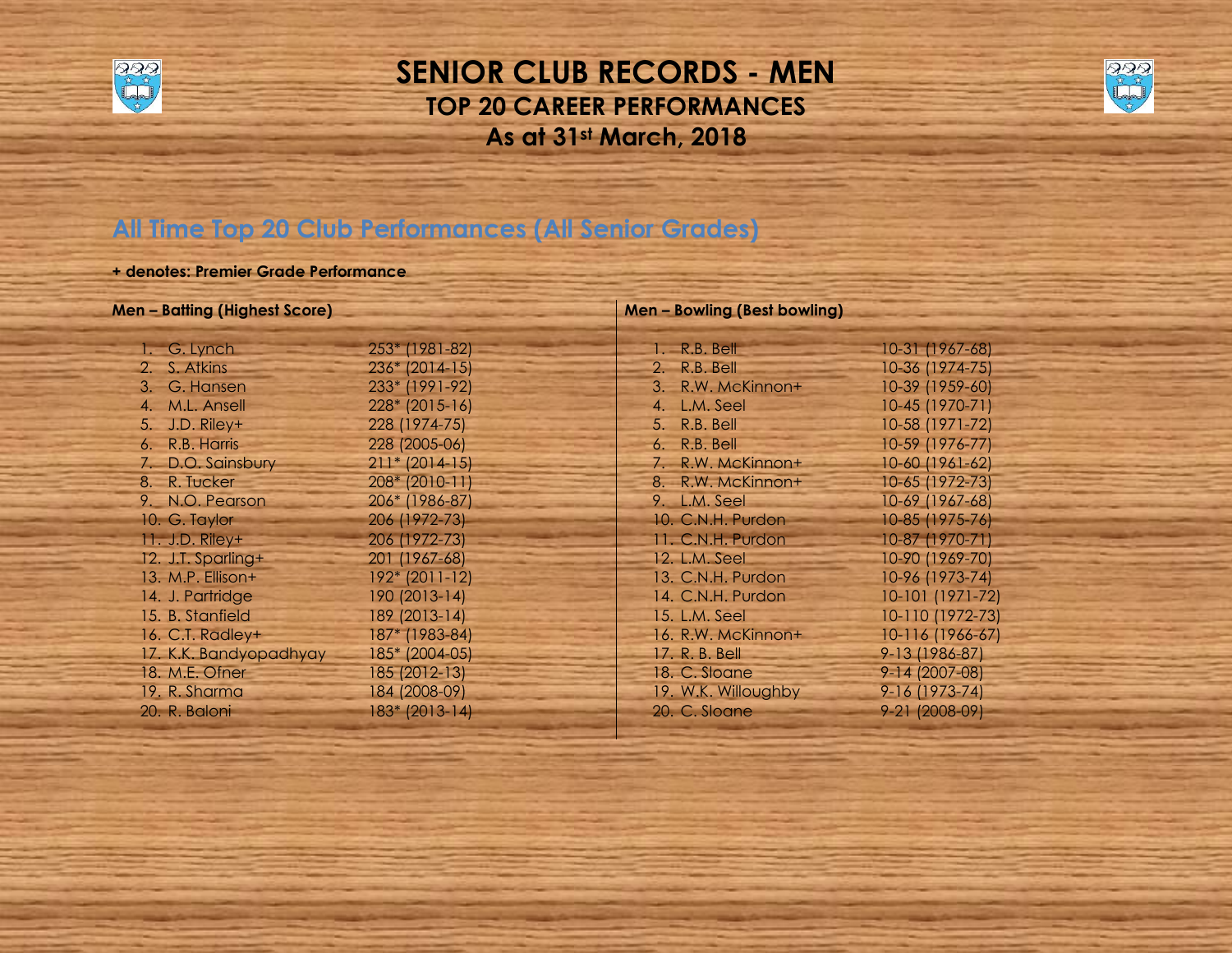

# **SENIOR CLUB RECORDS - MEN TOP 20 CAREER PERFORMANCES As at 31st March, 2018**



# **All Time Top 20 Club Performances (All Senior Grades)**

## **+ denotes: Premier Grade Performance**

| <b>Men – Batting (Highest Score)</b> |                  |
|--------------------------------------|------------------|
| 1. G. Lynch                          | 253* (1981-82)   |
| 2. S. Atkins                         | 236* (2014-15)   |
| 3. G. Hansen                         | 233* (1991-92)   |
| 4. M.L. Ansell                       | 228* (2015-16)   |
| 5. J.D. Riley+                       | 228 (1974-75)    |
| 6. R.B. Harris                       | 228 (2005-06)    |
| 7. D.O. Sainsbury                    | $211* (2014-15)$ |
| 8. R. Tucker                         | 208* (2010-11)   |
| 9. N.O. Pearson                      | 206* (1986-87)   |
| 10. G. Taylor                        | 206 (1972-73)    |
| 11. J.D. Riley+                      | 206 (1972-73)    |
| 12. J.T. Sparling+                   | 201 (1967-68)    |
| 13. M.P. Ellison+                    | 192* (2011-12)   |
| 14. J. Partridge                     | 190 (2013-14)    |
| 15. B. Stanfield                     | 189 (2013-14)    |
| 16. C.T. Radley+                     | 187* (1983-84)   |
| 17. K.K. Bandyopadhyay               | 185* (2004-05)   |
| 18. M.E. Ofner                       | 185 (2012-13)    |
| 19. R. Sharma                        | 184 (2008-09)    |
| 20. R. Baloni                        | 183* (2013-14)   |

### **Men – Bowling (Best bowling)**

| R.B. Bell<br>▄                | 10-31 (1967-68)  |
|-------------------------------|------------------|
| 2.<br>R.B. Bell               | 10-36 (1974-75)  |
| $3_{-}$<br>R.W. McKinnon+     | 10-39 (1959-60)  |
| $\overline{4}$ .<br>L.M. Seel | 10-45 (1970-71)  |
| R.B. Bell<br>5 <sup>7</sup>   | 10-58 (1971-72)  |
| 6. R.B. Bell                  | 10-59 (1976-77)  |
| 7. R.W. McKinnon+             | 10-60 (1961-62)  |
| 8. R.W. McKinnon+             | 10-65 (1972-73)  |
| L.M. Seel<br>9.               | 10-69 (1967-68)  |
| 10. C.N.H. Purdon             | 10-85 (1975-76)  |
| 11. C.N.H. Purdon             | 10-87 (1970-71)  |
| 12. L.M. Seel                 | 10-90 (1969-70)  |
| 13. C.N.H. Purdon             | 10-96 (1973-74)  |
| 14. C.N.H. Purdon             | 10-101 (1971-72) |
| 15. L.M. Seel                 | 10-110 (1972-73) |
| 16. R.W. McKinnon+            | 10-116 (1966-67) |
| 17, R. B. Bell                | 9-13 (1986-87)   |
| 18. C. Sloane                 | 9-14 (2007-08)   |
| 19. W.K. Willoughby           | 9-16 (1973-74)   |
| 20. C. Sloane                 | 9-21 (2008-09)   |
|                               |                  |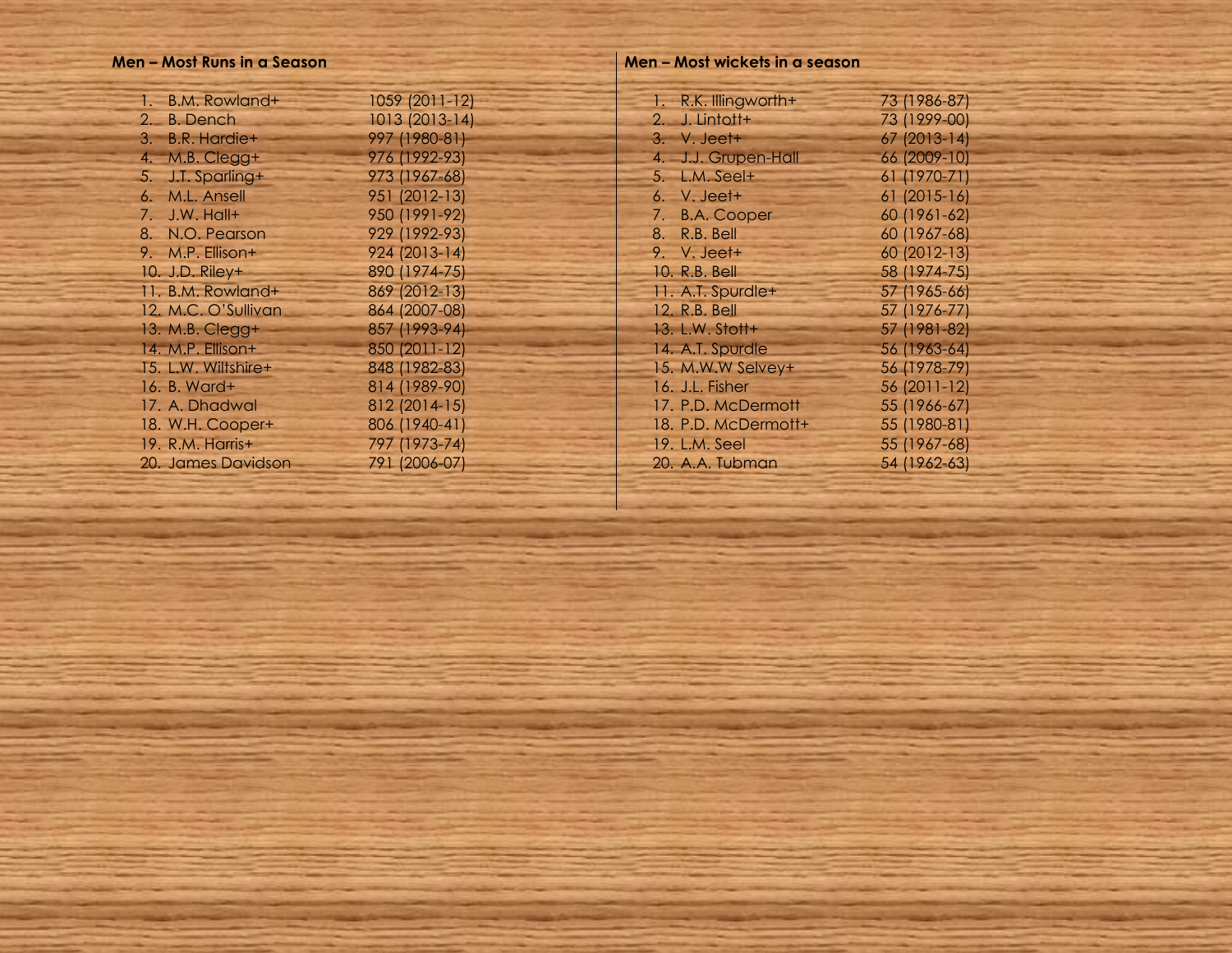#### **Men – Most Runs in a Season**

| 1 = | B.M. Rowland+       | 1059 (2011-12) |
|-----|---------------------|----------------|
|     | 2. B. Dench         | 1013 (2013-14) |
|     | 3. B.R. Hardie+     | 997 (1980-81)  |
|     | 4. M.B. Clegg+      | 976 (1992-93)  |
|     | 5. J.T. Sparling+   | 973 (1967-68)  |
|     | 6. M.L. Ansell      | 951 (2012-13)  |
|     | 7. J.W. Hall+       | 950 (1991-92)  |
|     | 8. N.O. Pearson     | 929 (1992-93)  |
|     | 9. M.P. Ellison+    | 924 (2013-14)  |
|     | 10. J.D. Riley+     | 890 (1974-75)  |
|     | 11. B.M. Rowland+   | 869 (2012-13)  |
|     | 12. M.C. O'Sullivan | 864 (2007-08)  |
|     | 13. M.B. Clegg+     | 857 (1993-94)  |
|     | 14. M.P. Ellison+   | 850 (2011-12)  |
|     | 15. L.W. Wiltshire+ | 848 (1982-83)  |
|     | 16. B. Ward+        | 814 (1989-90)  |
|     | 17. A. Dhadwal      | 812 (2014-15)  |
|     | 18. W.H. Cooper+    | 806 (1940-41)  |
|     | 19. R.M. Harris+    | 797 (1973-74)  |
|     | 20. James Davidson  | 791 (2006-07)  |

#### **Men – Most wickets in a season**

| 73 (1986-87) |
|--------------|
| 73 (1999-00) |
| 67 (2013-14) |
| 66 (2009-10) |
| 61 (1970-71) |
| 61 (2015-16) |
| 60 (1961-62) |
| 60 (1967-68) |
| 60 (2012-13) |
| 58 (1974-75) |
| 57 (1965-66) |
| 57 (1976-77) |
| 57 (1981-82) |
| 56 (1963-64) |
| 56 (1978-79) |
| 56 (2011-12) |
| 55 (1966-67) |
| 55 (1980-81) |
| 55 (1967-68) |
| 54 (1962-63) |
|              |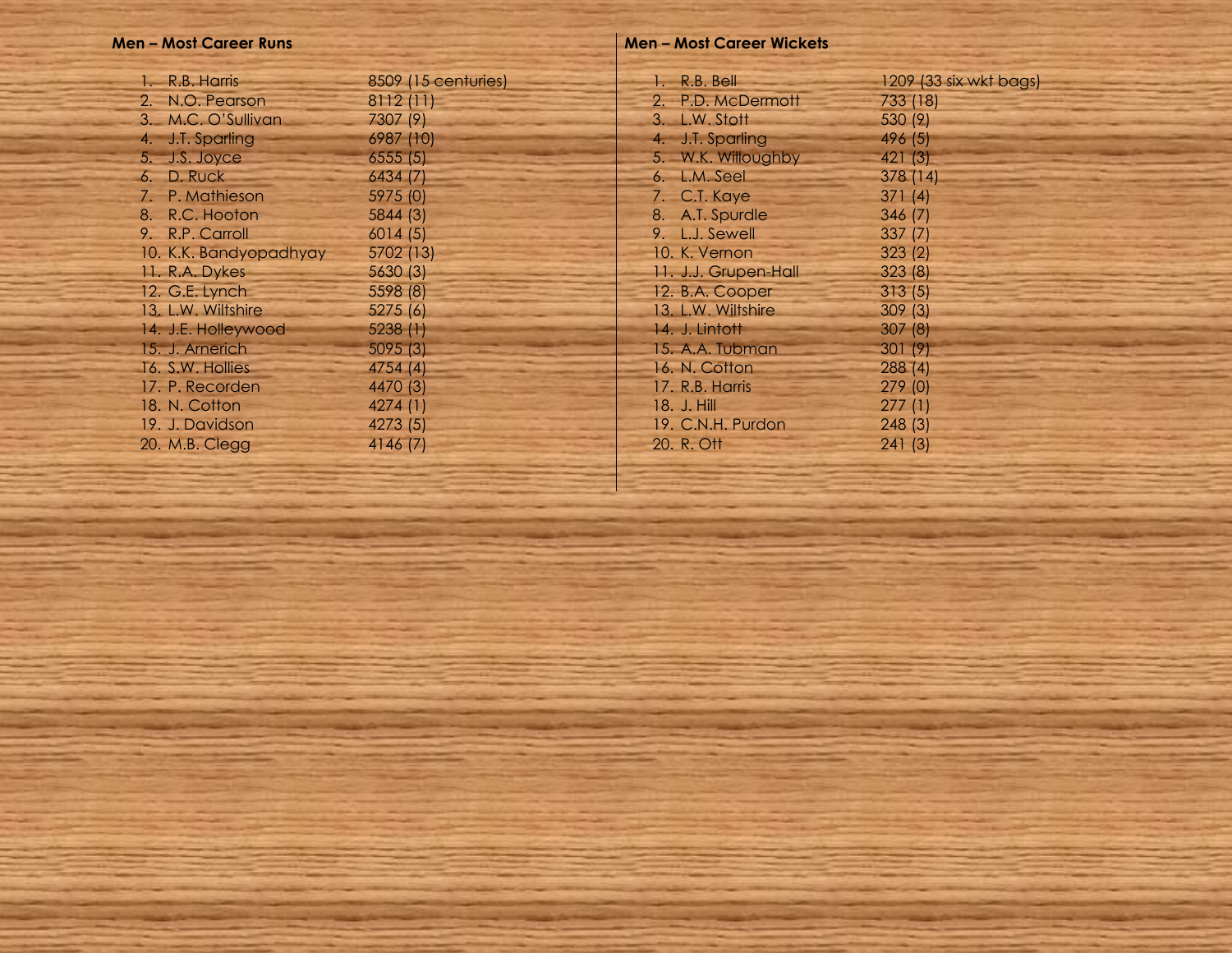## **Men – Most Career Runs**

| 1. R.B. Harris         | 8509 (15 centuries) |  |
|------------------------|---------------------|--|
| 2. N.O. Pearson        | 8112(11)            |  |
| 3. M.C. O'Sullivan     | 7307 (9)            |  |
| 4. J.T. Sparling       | 6987 (10)           |  |
| 5. J.S. Joyce          | 6555(5)             |  |
| 6. D. Ruck             | 6434 (7)            |  |
| 7. P. Mathieson        | 5975 (0)            |  |
| 8. R.C. Hooton         | 5844(3)             |  |
| 9. R.P. Carroll        | 6014(5)             |  |
| 10. K.K. Bandyopadhyay | 5702 (13)           |  |
| 11. R.A. Dykes         | 5630(3)             |  |
| 12. G.E. Lynch         | 5598 (8)            |  |
| 13. L.W. Wiltshire     | 5275(6)             |  |
| 14. J.E. Holleywood    | 5238 (1)            |  |
| 15. J. Arnerich        | 5095(3)             |  |
| 16. S.W. Hollies       | 4754 (4)            |  |
| 17. P. Recorden        | 4470 (3)            |  |
| 18. N. Cotton          | 4274(1)             |  |
| 19. J. Davidson        | 4273 (5)            |  |
| 20. M.B. Clegg         | 4146 (7)            |  |
|                        |                     |  |

## **Men – Most Career Wickets**

| 1. R.B. Bell         | 1209 (33 six wkt bags) |
|----------------------|------------------------|
| 2. P.D. McDermott    | 733 (18)               |
| 3. L.W. Stott        | 530 (9)                |
| 4. J.T. Sparling     | 496 (5)                |
| 5. W.K. Willoughby   | 421(3)                 |
| 6. L.M. Seel         | 378 (14)               |
| 7. C.T. Kaye         | 371(4)                 |
| 8. A.T. Spurdle      | 346 (7)                |
| 9. L.J. Sewell       | 337(7)                 |
| 10. K. Vernon        | 323(2)                 |
| 11. J.J. Grupen-Hall | 323(8)                 |
| 12. B.A. Cooper      | 313(5)                 |
| 13. L.W. Wiltshire   | 309(3)                 |
| 14. J. Lintott       | 307(8)                 |
| 15. A.A. Tubman      | 301(9)                 |
| 16. N. Cotton        | 288(4)                 |
| 17. R.B. Harris      | 279(0)                 |
| 18. J. Hill          | 277(1)                 |
| 19. C.N.H. Purdon    | 248 (3)                |
| 20. R. Ott           | 241 (3)                |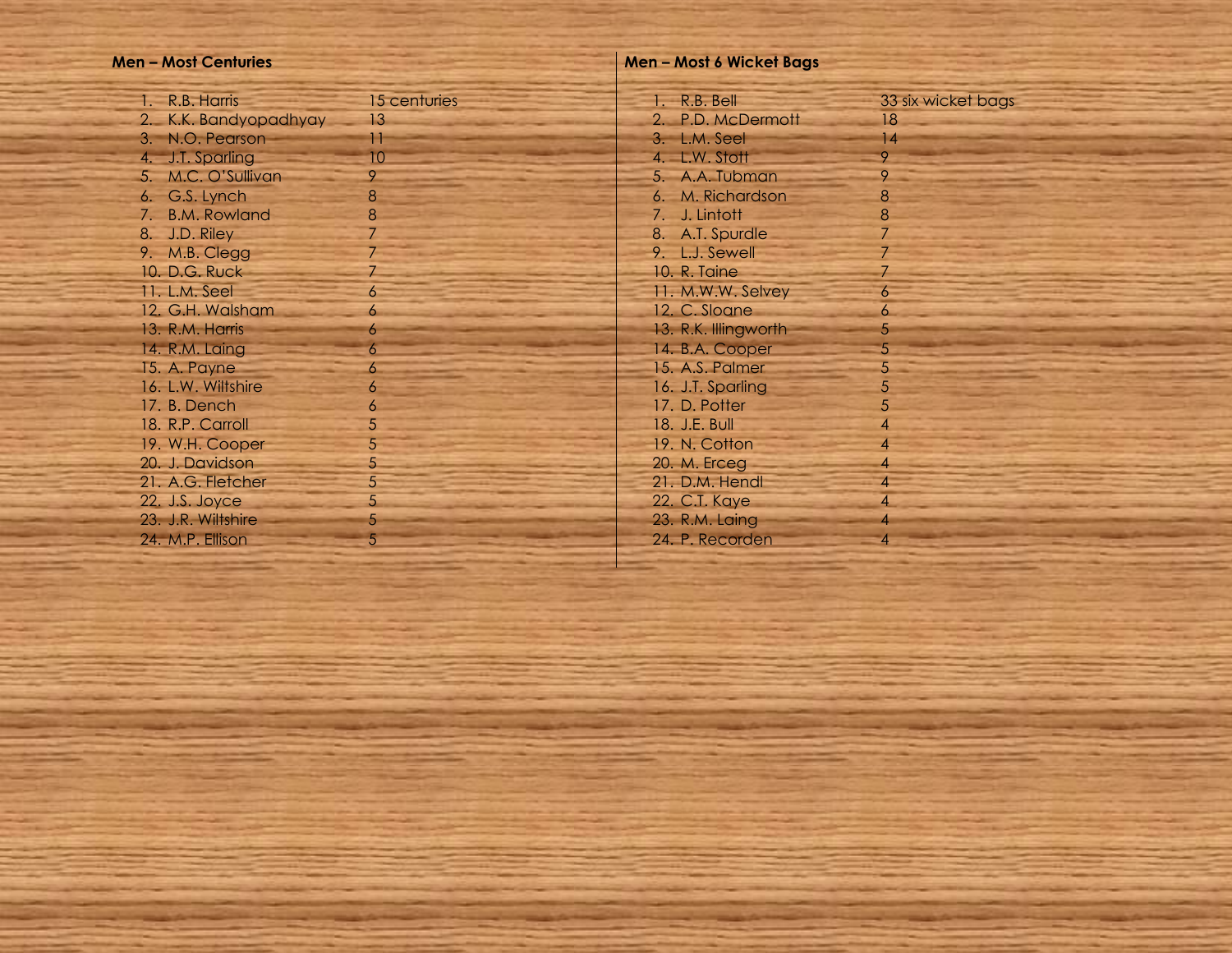### **Men – Most Centurie s**

| 1 =<br>R.B. Harris    | 15 centuries   |
|-----------------------|----------------|
| 2. K.K. Bandyopadhyay | 13             |
| 3. N.O. Pearson       | Η              |
| 4. J.T. Sparling      | 10             |
| 5. M.C. O'Sullivan    | 9              |
| 6. G.S. Lynch         | 8              |
| 7. B.M. Rowland       | 8              |
| 8. J.D. Riley         | $\overline{7}$ |
| 9. M.B. Clegg         | 7              |
| 10. D.G. Ruck         | 7              |
| 11. L.M. Seel         | $\overline{6}$ |
| 12. G.H. Walsham      | 6              |
| 13. R.M. Harris       | 6              |
| 14. R.M. Laing        | 6              |
| 15. A. Payne          | 6              |
| 16. L.W. Wiltshire    | 6              |
| 17. B. Dench          | 6              |
| 18. R.P. Carroll      | 5              |
| 19. W.H. Cooper       | 5              |
| 20. J. Davidson       | 5              |
| 21. A.G. Fletcher     | 5              |
| 22. J.S. Joyce        | 5              |
| 23. J.R. Wiltshire    | 5              |
| 24. M.P. Ellison      | 5              |

#### **Men – Most 6 Wicket Bags**

| 1. R.B. Bell         | 33 six wicket bags |
|----------------------|--------------------|
| 2. P.D. McDermott    | 18                 |
| 3. L.M. Seel         | 4                  |
| 4. L.W. Stott        | 9                  |
| 5. A.A. Tubman       | 9                  |
| 6. M. Richardson     | 8                  |
| 7. J. Lintott        | 8                  |
| 8. A.T. Spurdle      | $\overline{7}$     |
| 9. L.J. Sewell       | 7                  |
| 10. R. Taine         | 7                  |
|                      |                    |
| 11. M.W.W. Selvey    | 6                  |
| 12. C. Sloane        | 6                  |
| 13. R.K. Illingworth | 5                  |
| 14. B.A. Cooper      | 5                  |
| 15. A.S. Palmer      | 5                  |
| 16. J.T. Sparling    | 5                  |
| 17. D. Potter        | 5                  |
| 18. J.E. Bull        | $\overline{4}$     |
| 19. N. Cotton        | $\overline{4}$     |
| 20. M. Erceg         | $\overline{4}$     |
|                      | $\overline{4}$     |
| 21. D.M. Hendl       |                    |
| 22. C.T. Kaye        | $\overline{4}$     |
| 23. R.M. Laing       | 4                  |
| 24. P. Recorden      | 4                  |